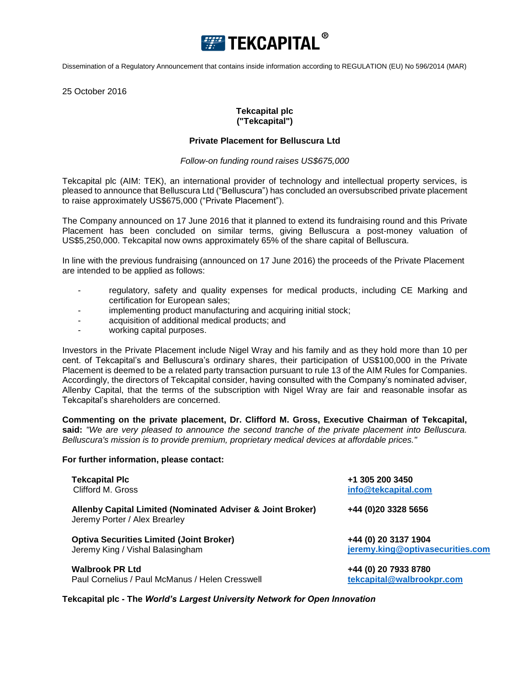

Dissemination of a Regulatory Announcement that contains inside information according to REGULATION (EU) No 596/2014 (MAR)

25 October 2016

# **Tekcapital plc ("Tekcapital")**

### **Private Placement for Belluscura Ltd**

### *Follow-on funding round raises US\$675,000*

Tekcapital plc (AIM: TEK), an international provider of technology and intellectual property services, is pleased to announce that Belluscura Ltd ("Belluscura") has concluded an oversubscribed private placement to raise approximately US\$675,000 ("Private Placement").

The Company announced on 17 June 2016 that it planned to extend its fundraising round and this Private Placement has been concluded on similar terms, giving Belluscura a post-money valuation of US\$5,250,000. Tekcapital now owns approximately 65% of the share capital of Belluscura.

In line with the previous fundraising (announced on 17 June 2016) the proceeds of the Private Placement are intended to be applied as follows:

- regulatory, safety and quality expenses for medical products, including CE Marking and certification for European sales;
- implementing product manufacturing and acquiring initial stock;
- acquisition of additional medical products; and
- working capital purposes.

Investors in the Private Placement include Nigel Wray and his family and as they hold more than 10 per cent. of Tekcapital's and Belluscura's ordinary shares, their participation of US\$100,000 in the Private Placement is deemed to be a related party transaction pursuant to rule 13 of the AIM Rules for Companies. Accordingly, the directors of Tekcapital consider, having consulted with the Company's nominated adviser, Allenby Capital, that the terms of the subscription with Nigel Wray are fair and reasonable insofar as Tekcapital's shareholders are concerned.

**Commenting on the private placement, Dr. Clifford M. Gross, Executive Chairman of Tekcapital, said:** *"We are very pleased to announce the second tranche of the private placement into Belluscura. Belluscura's mission is to provide premium, proprietary medical devices at affordable prices."*

#### **For further information, please contact:**

| <b>Tekcapital PIc</b>                                                                       | +1 305 200 3450                  |
|---------------------------------------------------------------------------------------------|----------------------------------|
| Clifford M. Gross                                                                           | info@tekcapital.com              |
| Allenby Capital Limited (Nominated Adviser & Joint Broker)<br>Jeremy Porter / Alex Brearley | +44 (0)20 3328 5656              |
| <b>Optiva Securities Limited (Joint Broker)</b>                                             | +44 (0) 20 3137 1904             |
| Jeremy King / Vishal Balasingham                                                            | jeremy.king@optivasecurities.com |
| <b>Walbrook PR Ltd</b>                                                                      | +44 (0) 20 7933 8780             |
| Paul Cornelius / Paul McManus / Helen Cresswell                                             | tekcapital@walbrookpr.com        |

**Tekcapital plc - The** *World's Largest University Network for Open Innovation*